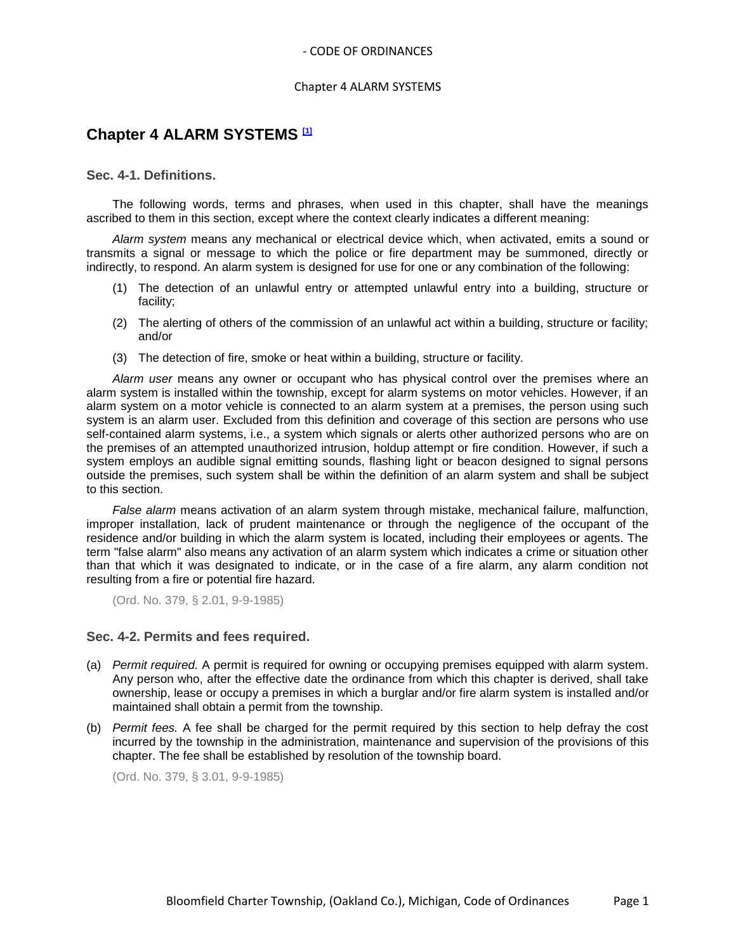#### Chapter 4 ALARM SYSTEMS

# **Chapter 4 ALARM SYSTEMS [1]**

# **Sec. 4-1. Definitions.**

The following words, terms and phrases, when used in this chapter, shall have the meanings ascribed to them in this section, except where the context clearly indicates a different meaning:

*Alarm system* means any mechanical or electrical device which, when activated, emits a sound or transmits a signal or message to which the police or fire department may be summoned, directly or indirectly, to respond. An alarm system is designed for use for one or any combination of the following:

- (1) The detection of an unlawful entry or attempted unlawful entry into a building, structure or facility;
- (2) The alerting of others of the commission of an unlawful act within a building, structure or facility; and/or
- (3) The detection of fire, smoke or heat within a building, structure or facility.

*Alarm user* means any owner or occupant who has physical control over the premises where an alarm system is installed within the township, except for alarm systems on motor vehicles. However, if an alarm system on a motor vehicle is connected to an alarm system at a premises, the person using such system is an alarm user. Excluded from this definition and coverage of this section are persons who use self-contained alarm systems, i.e., a system which signals or alerts other authorized persons who are on the premises of an attempted unauthorized intrusion, holdup attempt or fire condition. However, if such a system employs an audible signal emitting sounds, flashing light or beacon designed to signal persons outside the premises, such system shall be within the definition of an alarm system and shall be subject to this section.

*False alarm* means activation of an alarm system through mistake, mechanical failure, malfunction, improper installation, lack of prudent maintenance or through the negligence of the occupant of the residence and/or building in which the alarm system is located, including their employees or agents. The term "false alarm" also means any activation of an alarm system which indicates a crime or situation other than that which it was designated to indicate, or in the case of a fire alarm, any alarm condition not resulting from a fire or potential fire hazard.

(Ord. No. 379, § 2.01, 9-9-1985)

# **Sec. 4-2. Permits and fees required.**

- (a) *Permit required.* A permit is required for owning or occupying premises equipped with alarm system. Any person who, after the effective date the ordinance from which this chapter is derived, shall take ownership, lease or occupy a premises in which a burglar and/or fire alarm system is installed and/or maintained shall obtain a permit from the township.
- (b) *Permit fees.* A fee shall be charged for the permit required by this section to help defray the cost incurred by the township in the administration, maintenance and supervision of the provisions of this chapter. The fee shall be established by resolution of the township board.

(Ord. No. 379, § 3.01, 9-9-1985)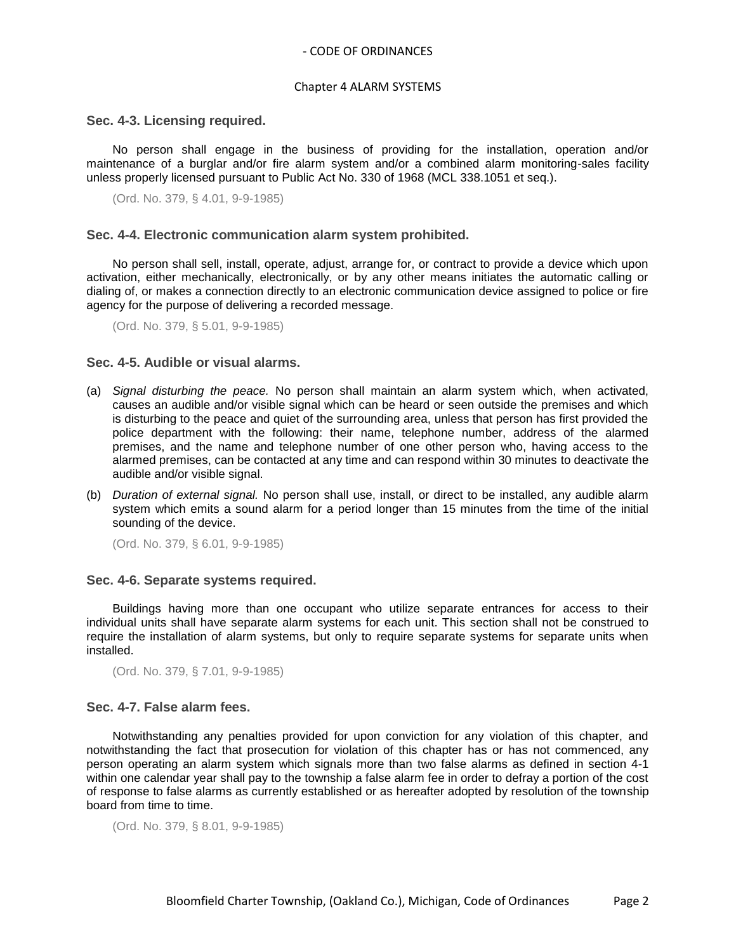# - CODE OF ORDINANCES

#### Chapter 4 ALARM SYSTEMS

#### **Sec. 4-3. Licensing required.**

No person shall engage in the business of providing for the installation, operation and/or maintenance of a burglar and/or fire alarm system and/or a combined alarm monitoring-sales facility unless properly licensed pursuant to Public Act No. 330 of 1968 (MCL 338.1051 et seq.).

(Ord. No. 379, § 4.01, 9-9-1985)

#### **Sec. 4-4. Electronic communication alarm system prohibited.**

No person shall sell, install, operate, adjust, arrange for, or contract to provide a device which upon activation, either mechanically, electronically, or by any other means initiates the automatic calling or dialing of, or makes a connection directly to an electronic communication device assigned to police or fire agency for the purpose of delivering a recorded message.

(Ord. No. 379, § 5.01, 9-9-1985)

# **Sec. 4-5. Audible or visual alarms.**

- (a) *Signal disturbing the peace.* No person shall maintain an alarm system which, when activated, causes an audible and/or visible signal which can be heard or seen outside the premises and which is disturbing to the peace and quiet of the surrounding area, unless that person has first provided the police department with the following: their name, telephone number, address of the alarmed premises, and the name and telephone number of one other person who, having access to the alarmed premises, can be contacted at any time and can respond within 30 minutes to deactivate the audible and/or visible signal.
- (b) *Duration of external signal.* No person shall use, install, or direct to be installed, any audible alarm system which emits a sound alarm for a period longer than 15 minutes from the time of the initial sounding of the device.

(Ord. No. 379, § 6.01, 9-9-1985)

#### **Sec. 4-6. Separate systems required.**

Buildings having more than one occupant who utilize separate entrances for access to their individual units shall have separate alarm systems for each unit. This section shall not be construed to require the installation of alarm systems, but only to require separate systems for separate units when installed.

(Ord. No. 379, § 7.01, 9-9-1985)

### **Sec. 4-7. False alarm fees.**

Notwithstanding any penalties provided for upon conviction for any violation of this chapter, and notwithstanding the fact that prosecution for violation of this chapter has or has not commenced, any person operating an alarm system which signals more than two false alarms as defined in section 4-1 within one calendar year shall pay to the township a false alarm fee in order to defray a portion of the cost of response to false alarms as currently established or as hereafter adopted by resolution of the township board from time to time.

(Ord. No. 379, § 8.01, 9-9-1985)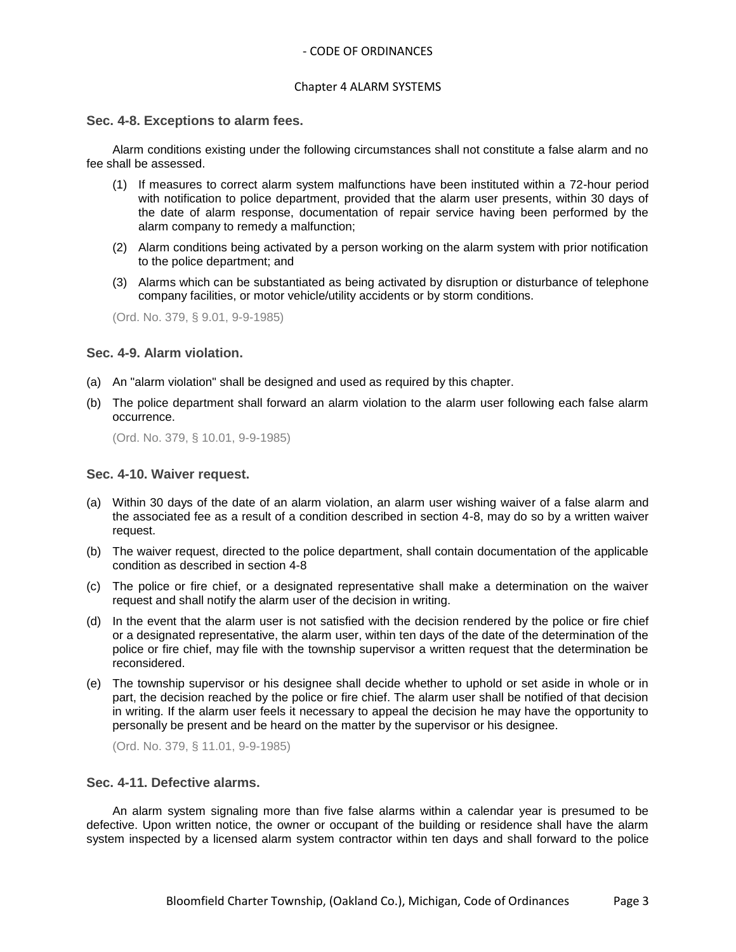# - CODE OF ORDINANCES

## Chapter 4 ALARM SYSTEMS

### **Sec. 4-8. Exceptions to alarm fees.**

Alarm conditions existing under the following circumstances shall not constitute a false alarm and no fee shall be assessed.

- (1) If measures to correct alarm system malfunctions have been instituted within a 72-hour period with notification to police department, provided that the alarm user presents, within 30 days of the date of alarm response, documentation of repair service having been performed by the alarm company to remedy a malfunction;
- (2) Alarm conditions being activated by a person working on the alarm system with prior notification to the police department; and
- (3) Alarms which can be substantiated as being activated by disruption or disturbance of telephone company facilities, or motor vehicle/utility accidents or by storm conditions.

(Ord. No. 379, § 9.01, 9-9-1985)

# **Sec. 4-9. Alarm violation.**

- (a) An "alarm violation" shall be designed and used as required by this chapter.
- (b) The police department shall forward an alarm violation to the alarm user following each false alarm occurrence.

(Ord. No. 379, § 10.01, 9-9-1985)

### **Sec. 4-10. Waiver request.**

- (a) Within 30 days of the date of an alarm violation, an alarm user wishing waiver of a false alarm and the associated fee as a result of a condition described in section 4-8, may do so by a written waiver request.
- (b) The waiver request, directed to the police department, shall contain documentation of the applicable condition as described in section 4-8
- (c) The police or fire chief, or a designated representative shall make a determination on the waiver request and shall notify the alarm user of the decision in writing.
- (d) In the event that the alarm user is not satisfied with the decision rendered by the police or fire chief or a designated representative, the alarm user, within ten days of the date of the determination of the police or fire chief, may file with the township supervisor a written request that the determination be reconsidered.
- (e) The township supervisor or his designee shall decide whether to uphold or set aside in whole or in part, the decision reached by the police or fire chief. The alarm user shall be notified of that decision in writing. If the alarm user feels it necessary to appeal the decision he may have the opportunity to personally be present and be heard on the matter by the supervisor or his designee.

(Ord. No. 379, § 11.01, 9-9-1985)

# **Sec. 4-11. Defective alarms.**

An alarm system signaling more than five false alarms within a calendar year is presumed to be defective. Upon written notice, the owner or occupant of the building or residence shall have the alarm system inspected by a licensed alarm system contractor within ten days and shall forward to the police